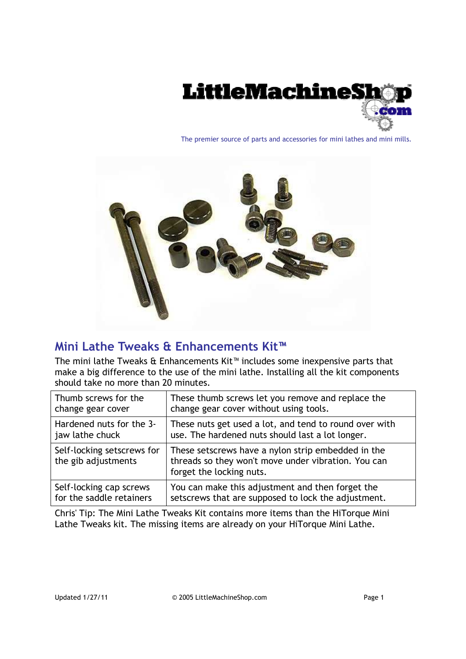

The premier source of parts and accessories for mini lathes and mini mills.



# **Mini Lathe Tweaks & Enhancements Kit™**

The mini lathe Tweaks & Enhancements Kit™ includes some inexpensive parts that make a big difference to the use of the mini lathe. Installing all the kit components should take no more than 20 minutes.

| Thumb screws for the                              | These thumb screws let you remove and replace the                                                                                     |
|---------------------------------------------------|---------------------------------------------------------------------------------------------------------------------------------------|
| change gear cover                                 | change gear cover without using tools.                                                                                                |
| Hardened nuts for the 3-                          | These nuts get used a lot, and tend to round over with                                                                                |
| jaw lathe chuck                                   | use. The hardened nuts should last a lot longer.                                                                                      |
| Self-locking setscrews for<br>the gib adjustments | These setscrews have a nylon strip embedded in the<br>threads so they won't move under vibration. You can<br>forget the locking nuts. |
| Self-locking cap screws                           | You can make this adjustment and then forget the                                                                                      |
| for the saddle retainers                          | setscrews that are supposed to lock the adjustment.                                                                                   |

Chris' Tip: The Mini Lathe Tweaks Kit contains more items than the HiTorque Mini Lathe Tweaks kit. The missing items are already on your HiTorque Mini Lathe.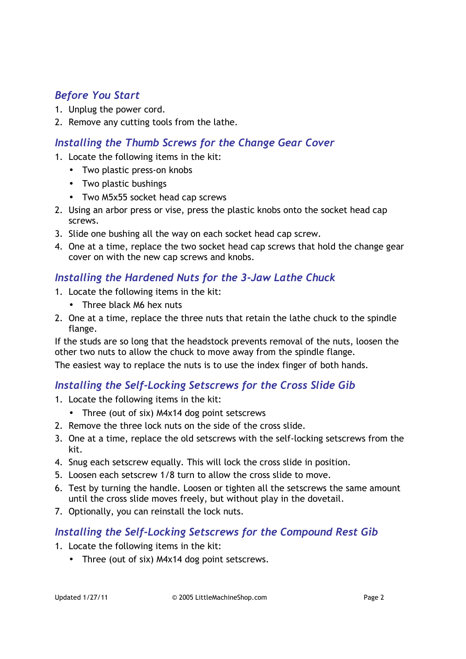# *Before You Start*

- 1. Unplug the power cord.
- 2. Remove any cutting tools from the lathe.

# *Installing the Thumb Screws for the Change Gear Cover*

- 1. Locate the following items in the kit:
	- Two plastic press-on knobs
	- Two plastic bushings
	- Two M5x55 socket head cap screws
- 2. Using an arbor press or vise, press the plastic knobs onto the socket head cap screws.
- 3. Slide one bushing all the way on each socket head cap screw.
- 4. One at a time, replace the two socket head cap screws that hold the change gear cover on with the new cap screws and knobs.

### *Installing the Hardened Nuts for the 3-Jaw Lathe Chuck*

- 1. Locate the following items in the kit:
	- Three black M6 hex nuts
- 2. One at a time, replace the three nuts that retain the lathe chuck to the spindle flange.

If the studs are so long that the headstock prevents removal of the nuts, loosen the other two nuts to allow the chuck to move away from the spindle flange.

The easiest way to replace the nuts is to use the index finger of both hands.

### *Installing the Self-Locking Setscrews for the Cross Slide Gib*

- 1. Locate the following items in the kit:
	- Three (out of six) M4x14 dog point setscrews
- 2. Remove the three lock nuts on the side of the cross slide.
- 3. One at a time, replace the old setscrews with the self-locking setscrews from the kit.
- 4. Snug each setscrew equally. This will lock the cross slide in position.
- 5. Loosen each setscrew 1/8 turn to allow the cross slide to move.
- 6. Test by turning the handle. Loosen or tighten all the setscrews the same amount until the cross slide moves freely, but without play in the dovetail.
- 7. Optionally, you can reinstall the lock nuts.

### *Installing the Self-Locking Setscrews for the Compound Rest Gib*

- 1. Locate the following items in the kit:
	- Three (out of six) M4x14 dog point setscrews.